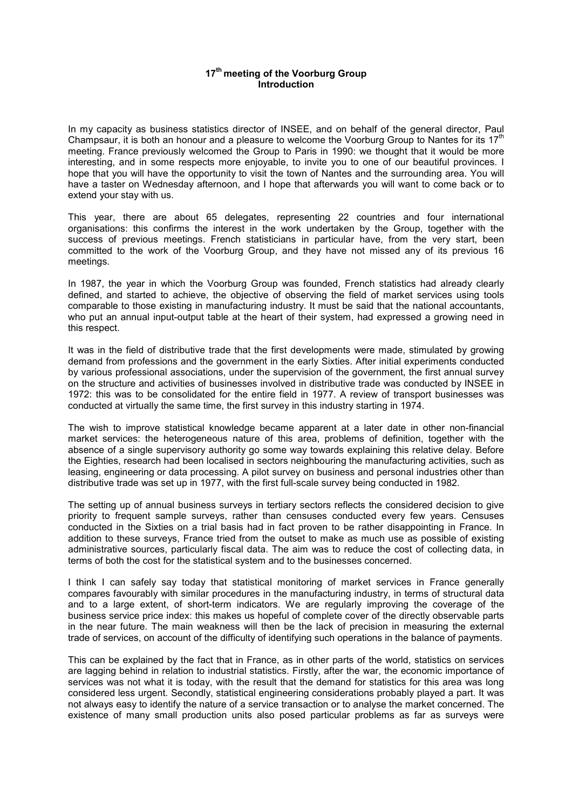## **17th meeting of the Voorburg Group Introduction**

In my capacity as business statistics director of INSEE, and on behalf of the general director, Paul Champsaur, it is both an honour and a pleasure to welcome the Voorburg Group to Nantes for its  $17<sup>th</sup>$ meeting. France previously welcomed the Group to Paris in 1990: we thought that it would be more interesting, and in some respects more enjoyable, to invite you to one of our beautiful provinces. I hope that you will have the opportunity to visit the town of Nantes and the surrounding area. You will have a taster on Wednesday afternoon, and I hope that afterwards you will want to come back or to extend your stay with us.

This year, there are about 65 delegates, representing 22 countries and four international organisations: this confirms the interest in the work undertaken by the Group, together with the success of previous meetings. French statisticians in particular have, from the very start, been committed to the work of the Voorburg Group, and they have not missed any of its previous 16 meetings.

In 1987, the year in which the Voorburg Group was founded, French statistics had already clearly defined, and started to achieve, the objective of observing the field of market services using tools comparable to those existing in manufacturing industry. It must be said that the national accountants, who put an annual input-output table at the heart of their system, had expressed a growing need in this respect.

It was in the field of distributive trade that the first developments were made, stimulated by growing demand from professions and the government in the early Sixties. After initial experiments conducted by various professional associations, under the supervision of the government, the first annual survey on the structure and activities of businesses involved in distributive trade was conducted by INSEE in 1972: this was to be consolidated for the entire field in 1977. A review of transport businesses was conducted at virtually the same time, the first survey in this industry starting in 1974.

The wish to improve statistical knowledge became apparent at a later date in other non-financial market services: the heterogeneous nature of this area, problems of definition, together with the absence of a single supervisory authority go some way towards explaining this relative delay. Before the Eighties, research had been localised in sectors neighbouring the manufacturing activities, such as leasing, engineering or data processing. A pilot survey on business and personal industries other than distributive trade was set up in 1977, with the first full-scale survey being conducted in 1982.

The setting up of annual business surveys in tertiary sectors reflects the considered decision to give priority to frequent sample surveys, rather than censuses conducted every few years. Censuses conducted in the Sixties on a trial basis had in fact proven to be rather disappointing in France. In addition to these surveys, France tried from the outset to make as much use as possible of existing administrative sources, particularly fiscal data. The aim was to reduce the cost of collecting data, in terms of both the cost for the statistical system and to the businesses concerned.

I think I can safely say today that statistical monitoring of market services in France generally compares favourably with similar procedures in the manufacturing industry, in terms of structural data and to a large extent, of short-term indicators. We are regularly improving the coverage of the business service price index: this makes us hopeful of complete cover of the directly observable parts in the near future. The main weakness will then be the lack of precision in measuring the external trade of services, on account of the difficulty of identifying such operations in the balance of payments.

This can be explained by the fact that in France, as in other parts of the world, statistics on services are lagging behind in relation to industrial statistics. Firstly, after the war, the economic importance of services was not what it is today, with the result that the demand for statistics for this area was long considered less urgent. Secondly, statistical engineering considerations probably played a part. It was not always easy to identify the nature of a service transaction or to analyse the market concerned. The existence of many small production units also posed particular problems as far as surveys were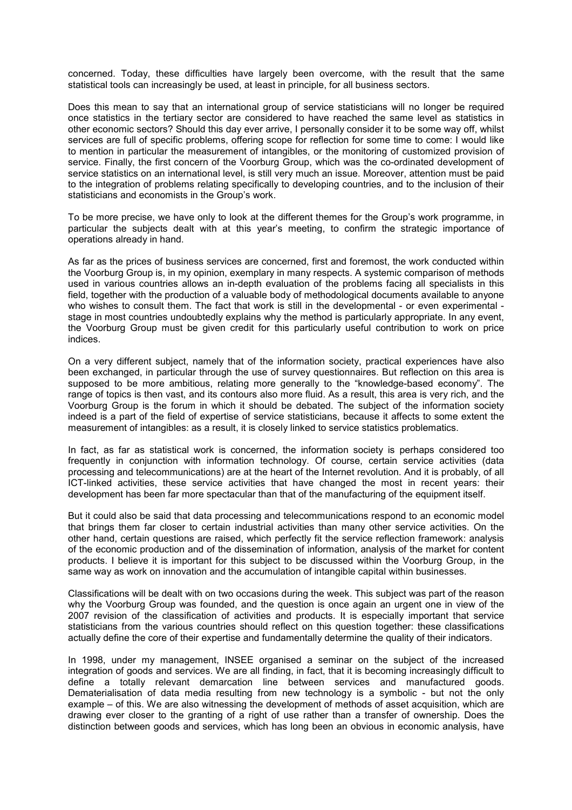concerned. Today, these difficulties have largely been overcome, with the result that the same statistical tools can increasingly be used, at least in principle, for all business sectors.

Does this mean to say that an international group of service statisticians will no longer be required once statistics in the tertiary sector are considered to have reached the same level as statistics in other economic sectors? Should this day ever arrive, I personally consider it to be some way off, whilst services are full of specific problems, offering scope for reflection for some time to come: I would like to mention in particular the measurement of intangibles, or the monitoring of customized provision of service. Finally, the first concern of the Voorburg Group, which was the co-ordinated development of service statistics on an international level, is still very much an issue. Moreover, attention must be paid to the integration of problems relating specifically to developing countries, and to the inclusion of their statisticians and economists in the Group's work.

To be more precise, we have only to look at the different themes for the Group's work programme, in particular the subjects dealt with at this year's meeting, to confirm the strategic importance of operations already in hand.

As far as the prices of business services are concerned, first and foremost, the work conducted within the Voorburg Group is, in my opinion, exemplary in many respects. A systemic comparison of methods used in various countries allows an in-depth evaluation of the problems facing all specialists in this field, together with the production of a valuable body of methodological documents available to anyone who wishes to consult them. The fact that work is still in the developmental - or even experimental stage in most countries undoubtedly explains why the method is particularly appropriate. In any event, the Voorburg Group must be given credit for this particularly useful contribution to work on price indices.

On a very different subject, namely that of the information society, practical experiences have also been exchanged, in particular through the use of survey questionnaires. But reflection on this area is supposed to be more ambitious, relating more generally to the "knowledge-based economy". The range of topics is then vast, and its contours also more fluid. As a result, this area is very rich, and the Voorburg Group is the forum in which it should be debated. The subject of the information society indeed is a part of the field of expertise of service statisticians, because it affects to some extent the measurement of intangibles: as a result, it is closely linked to service statistics problematics.

In fact, as far as statistical work is concerned, the information society is perhaps considered too frequently in conjunction with information technology. Of course, certain service activities (data processing and telecommunications) are at the heart of the Internet revolution. And it is probably, of all ICT-linked activities, these service activities that have changed the most in recent years: their development has been far more spectacular than that of the manufacturing of the equipment itself.

But it could also be said that data processing and telecommunications respond to an economic model that brings them far closer to certain industrial activities than many other service activities. On the other hand, certain questions are raised, which perfectly fit the service reflection framework: analysis of the economic production and of the dissemination of information, analysis of the market for content products. I believe it is important for this subject to be discussed within the Voorburg Group, in the same way as work on innovation and the accumulation of intangible capital within businesses.

Classifications will be dealt with on two occasions during the week. This subject was part of the reason why the Voorburg Group was founded, and the question is once again an urgent one in view of the 2007 revision of the classification of activities and products. It is especially important that service statisticians from the various countries should reflect on this question together: these classifications actually define the core of their expertise and fundamentally determine the quality of their indicators.

In 1998, under my management, INSEE organised a seminar on the subject of the increased integration of goods and services. We are all finding, in fact, that it is becoming increasingly difficult to define a totally relevant demarcation line between services and manufactured goods. Dematerialisation of data media resulting from new technology is a symbolic - but not the only example – of this. We are also witnessing the development of methods of asset acquisition, which are drawing ever closer to the granting of a right of use rather than a transfer of ownership. Does the distinction between goods and services, which has long been an obvious in economic analysis, have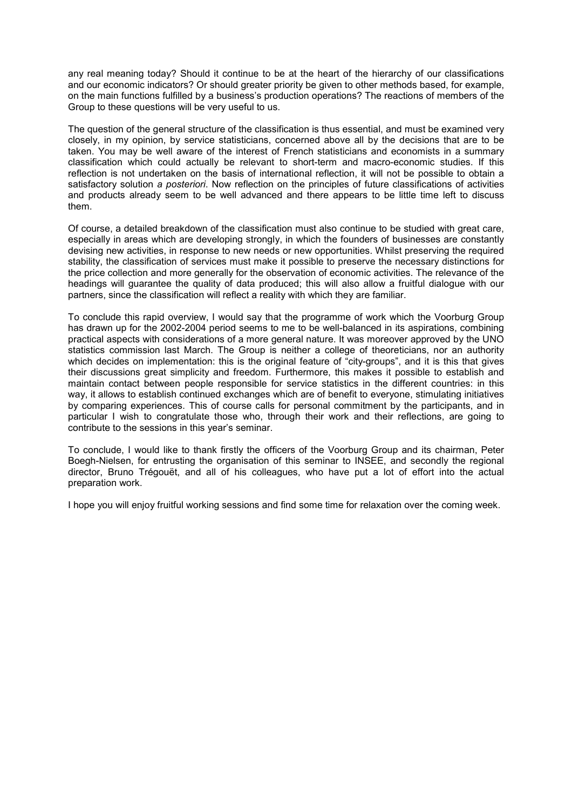any real meaning today? Should it continue to be at the heart of the hierarchy of our classifications and our economic indicators? Or should greater priority be given to other methods based, for example, on the main functions fulfilled by a business's production operations? The reactions of members of the Group to these questions will be very useful to us.

The question of the general structure of the classification is thus essential, and must be examined very closely, in my opinion, by service statisticians, concerned above all by the decisions that are to be taken. You may be well aware of the interest of French statisticians and economists in a summary classification which could actually be relevant to short-term and macro-economic studies. If this reflection is not undertaken on the basis of international reflection, it will not be possible to obtain a satisfactory solution *a posteriori*. Now reflection on the principles of future classifications of activities and products already seem to be well advanced and there appears to be little time left to discuss them.

Of course, a detailed breakdown of the classification must also continue to be studied with great care, especially in areas which are developing strongly, in which the founders of businesses are constantly devising new activities, in response to new needs or new opportunities. Whilst preserving the required stability, the classification of services must make it possible to preserve the necessary distinctions for the price collection and more generally for the observation of economic activities. The relevance of the headings will guarantee the quality of data produced; this will also allow a fruitful dialogue with our partners, since the classification will reflect a reality with which they are familiar.

To conclude this rapid overview, I would say that the programme of work which the Voorburg Group has drawn up for the 2002-2004 period seems to me to be well-balanced in its aspirations, combining practical aspects with considerations of a more general nature. It was moreover approved by the UNO statistics commission last March. The Group is neither a college of theoreticians, nor an authority which decides on implementation: this is the original feature of "city-groups", and it is this that gives their discussions great simplicity and freedom. Furthermore, this makes it possible to establish and maintain contact between people responsible for service statistics in the different countries: in this way, it allows to establish continued exchanges which are of benefit to everyone, stimulating initiatives by comparing experiences. This of course calls for personal commitment by the participants, and in particular I wish to congratulate those who, through their work and their reflections, are going to contribute to the sessions in this year's seminar.

To conclude, I would like to thank firstly the officers of the Voorburg Group and its chairman, Peter Boegh-Nielsen, for entrusting the organisation of this seminar to INSEE, and secondly the regional director, Bruno Trégouët, and all of his colleagues, who have put a lot of effort into the actual preparation work.

I hope you will enjoy fruitful working sessions and find some time for relaxation over the coming week.